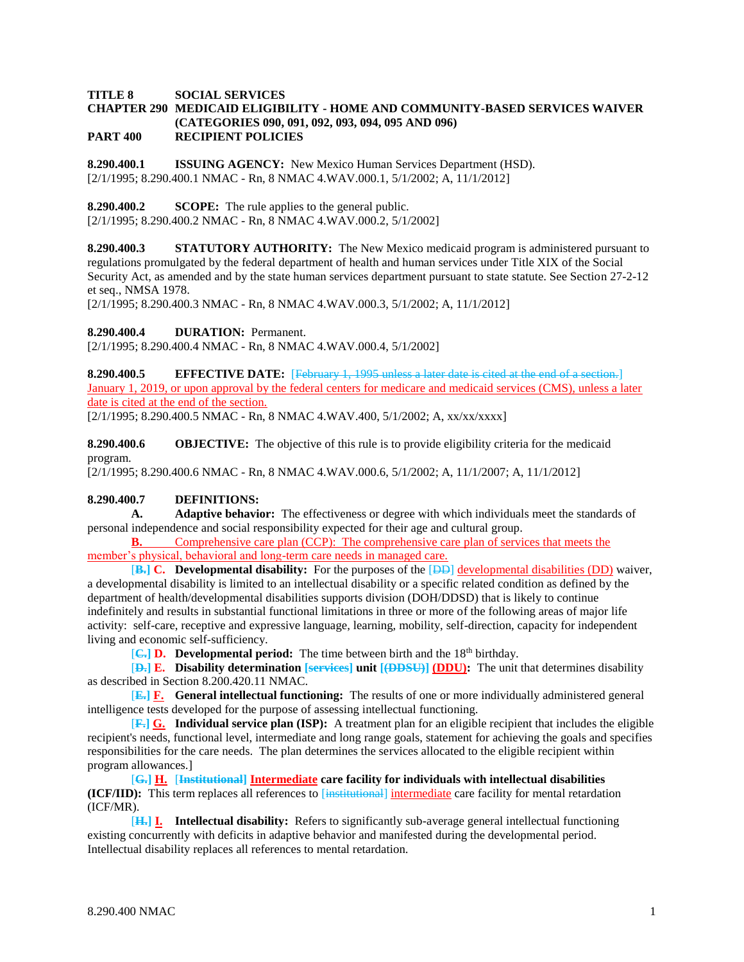## **TITLE 8 SOCIAL SERVICES CHAPTER 290 MEDICAID ELIGIBILITY - HOME AND COMMUNITY-BASED SERVICES WAIVER (CATEGORIES 090, 091, 092, 093, 094, 095 AND 096) PART 400 RECIPIENT POLICIES**

**8.290.400.1 ISSUING AGENCY:** New Mexico Human Services Department (HSD). [2/1/1995; 8.290.400.1 NMAC - Rn, 8 NMAC 4.WAV.000.1, 5/1/2002; A, 11/1/2012]

**8.290.400.2 SCOPE:** The rule applies to the general public.

[2/1/1995; 8.290.400.2 NMAC - Rn, 8 NMAC 4.WAV.000.2, 5/1/2002]

**8.290.400.3 STATUTORY AUTHORITY:** The New Mexico medicaid program is administered pursuant to regulations promulgated by the federal department of health and human services under Title XIX of the Social Security Act, as amended and by the state human services department pursuant to state statute. See Section 27-2-12 et seq., NMSA 1978.

[2/1/1995; 8.290.400.3 NMAC - Rn, 8 NMAC 4.WAV.000.3, 5/1/2002; A, 11/1/2012]

**8.290.400.4 DURATION:** Permanent.

[2/1/1995; 8.290.400.4 NMAC - Rn, 8 NMAC 4.WAV.000.4, 5/1/2002]

**8.290.400.5 EFFECTIVE DATE:** [February 1, 1995 unless a later date is cited at the end of a section.] January 1, 2019, or upon approval by the federal centers for medicare and medicaid services (CMS), unless a later date is cited at the end of the section.

[2/1/1995; 8.290.400.5 NMAC - Rn, 8 NMAC 4.WAV.400, 5/1/2002; A, xx/xx/xxxx]

**8.290.400.6 OBJECTIVE:** The objective of this rule is to provide eligibility criteria for the medicaid program.

[2/1/1995; 8.290.400.6 NMAC - Rn, 8 NMAC 4.WAV.000.6, 5/1/2002; A, 11/1/2007; A, 11/1/2012]

## **8.290.400.7 DEFINITIONS:**

**A. Adaptive behavior:** The effectiveness or degree with which individuals meet the standards of personal independence and social responsibility expected for their age and cultural group.

**B.** Comprehensive care plan (CCP): The comprehensive care plan of services that meets the member's physical, behavioral and long-term care needs in managed care.

[**B.] C. Developmental disability:** For the purposes of the [DD] developmental disabilities (DD) waiver, a developmental disability is limited to an intellectual disability or a specific related condition as defined by the department of health/developmental disabilities supports division (DOH/DDSD) that is likely to continue indefinitely and results in substantial functional limitations in three or more of the following areas of major life activity: self-care, receptive and expressive language, learning, mobility, self-direction, capacity for independent living and economic self-sufficiency.

**[C.] D.** Developmental period: The time between birth and the 18<sup>th</sup> birthday.

[**D.] E. Disability determination [services] unit [(DDSU)] (DDU):** The unit that determines disability as described in Section 8.200.420.11 NMAC.

[**E.] F. General intellectual functioning:** The results of one or more individually administered general intelligence tests developed for the purpose of assessing intellectual functioning.

[**F.] G. Individual service plan (ISP):** A treatment plan for an eligible recipient that includes the eligible recipient's needs, functional level, intermediate and long range goals, statement for achieving the goals and specifies responsibilities for the care needs. The plan determines the services allocated to the eligible recipient within program allowances.]

[**G.] H.** [**Institutional] Intermediate care facility for individuals with intellectual disabilities (ICF/IID):** This term replaces all references to [institutional] intermediate care facility for mental retardation (ICF/MR).

[**H.] I. Intellectual disability:** Refers to significantly sub-average general intellectual functioning existing concurrently with deficits in adaptive behavior and manifested during the developmental period. Intellectual disability replaces all references to mental retardation.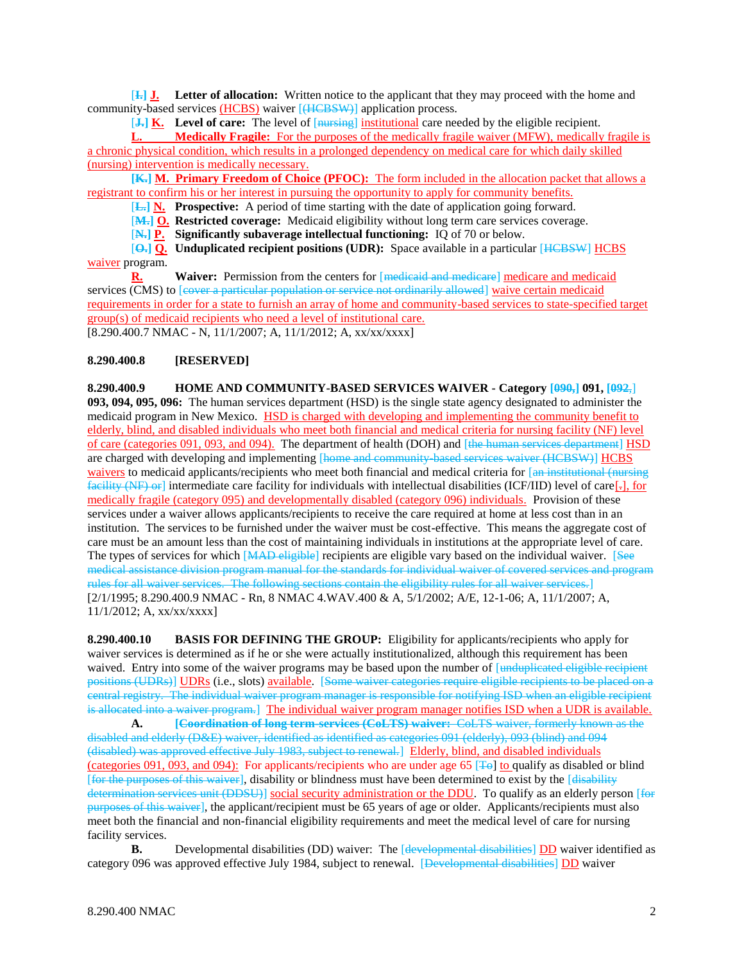[**I.] J. Letter of allocation:** Written notice to the applicant that they may proceed with the home and community-based services (HCBS) waiver [(HCBSW)] application process.

[**J.] K. Level of care:** The level of [nursing] institutional care needed by the eligible recipient.

**L. Medically Fragile:** For the purposes of the medically fragile waiver (MFW), medically fragile is a chronic physical condition, which results in a prolonged dependency on medical care for which daily skilled (nursing) intervention is medically necessary.

**[K.] M. Primary Freedom of Choice (PFOC):** The form included in the allocation packet that allows a registrant to confirm his or her interest in pursuing the opportunity to apply for community benefits.

[**L.] N. Prospective:** A period of time starting with the date of application going forward.

[**M.] O. Restricted coverage:** Medicaid eligibility without long term care services coverage.

[**N.] P. Significantly subaverage intellectual functioning:** IQ of 70 or below.

[**O.] Q. Unduplicated recipient positions (UDR):** Space available in a particular [HCBSW] HCBS waiver program.

**R. Waiver:** Permission from the centers for [medicaid and medicare] medicare and medicaid services (CMS) to [eover a particular population or service not ordinarily allowed] waive certain medicaid requirements in order for a state to furnish an array of home and community-based services to state-specified target group(s) of medicaid recipients who need a level of institutional care. [8.290.400.7 NMAC - N, 11/1/2007; A, 11/1/2012; A, xx/xx/xxxx]

## **8.290.400.8 [RESERVED]**

**8.290.400.9 HOME AND COMMUNITY-BASED SERVICES WAIVER - Category [090,] 091, [092**,] **093, 094, 095, 096:** The human services department (HSD) is the single state agency designated to administer the medicaid program in New Mexico. HSD is charged with developing and implementing the community benefit to elderly, blind, and disabled individuals who meet both financial and medical criteria for nursing facility (NF) level of care (categories 091, 093, and 094). The department of health (DOH) and [the human services department] HSD are charged with developing and implementing [home and community-based services waiver (HCBSW)] HCBS waivers to medicaid applicants/recipients who meet both financial and medical criteria for [an institutional (nursing  $f_{\text{relit}}(\text{N})$  or intermediate care facility for individuals with intellectual disabilities (ICF/IID) level of care[-], for medically fragile (category 095) and developmentally disabled (category 096) individuals. Provision of these services under a waiver allows applicants/recipients to receive the care required at home at less cost than in an institution. The services to be furnished under the waiver must be cost-effective. This means the aggregate cost of care must be an amount less than the cost of maintaining individuals in institutions at the appropriate level of care. The types of services for which [MAD eligible] recipients are eligible vary based on the individual waiver. [See medical assistance division program manual for the standards for individual waiver of covered services and program rules for all waiver services. The following sections contain the eligibility rules for all waiver services.] [2/1/1995; 8.290.400.9 NMAC - Rn, 8 NMAC 4.WAV.400 & A, 5/1/2002; A/E, 12-1-06; A, 11/1/2007; A, 11/1/2012; A, xx/xx/xxxx]

**8.290.400.10 BASIS FOR DEFINING THE GROUP:** Eligibility for applicants/recipients who apply for waiver services is determined as if he or she were actually institutionalized, although this requirement has been waived. Entry into some of the waiver programs may be based upon the number of [unduplicated eligible recipient positions (UDRs)] UDRs (i.e., slots) available. [Some waiver categories require eligible recipients to be placed on a central registry. The individual waiver program manager is responsible for notifying ISD when an eligible recipient is allocated into a waiver program.] The individual waiver program manager notifies ISD when a UDR is available.

**A. [Coordination of long term-services (CoLTS) waiver:** CoLTS waiver, formerly known as the disabled and elderly (D&E) waiver, identified as identified as categories 091 (elderly), 093 (blind) and 094 (disabled) was approved effective July 1983, subject to renewal.] Elderly, blind, and disabled individuals (categories 091, 093, and 094): For applicants/recipients who are under age 65 [ $\pm$ ] to qualify as disabled or blind [for the purposes of this waiver], disability or blindness must have been determined to exist by the [disability determination services unit (DDSU)] social security administration or the DDU. To qualify as an elderly person [for purposes of this waiver], the applicant/recipient must be 65 years of age or older. Applicants/recipients must also meet both the financial and non-financial eligibility requirements and meet the medical level of care for nursing facility services.

**B.** Developmental disabilities (DD) waiver: The [developmental disabilities] DD waiver identified as category 096 was approved effective July 1984, subject to renewal. [Developmental disabilities] DD waiver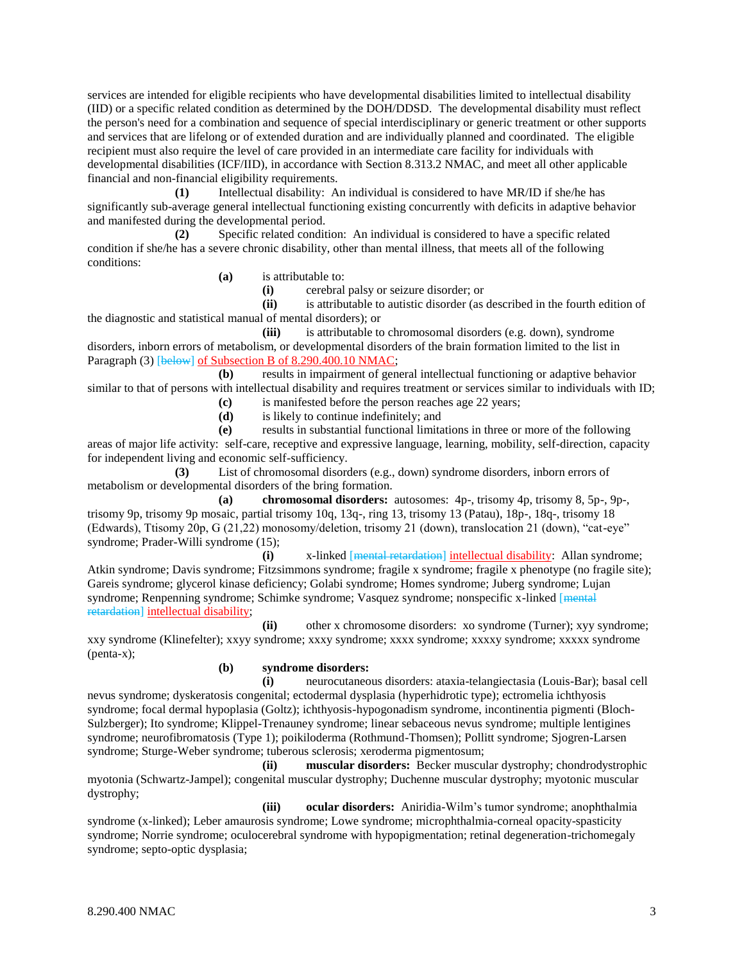services are intended for eligible recipients who have developmental disabilities limited to intellectual disability (IID) or a specific related condition as determined by the DOH/DDSD. The developmental disability must reflect the person's need for a combination and sequence of special interdisciplinary or generic treatment or other supports and services that are lifelong or of extended duration and are individually planned and coordinated. The eligible recipient must also require the level of care provided in an intermediate care facility for individuals with developmental disabilities (ICF/IID), in accordance with Section 8.313.2 NMAC, and meet all other applicable financial and non-financial eligibility requirements.

**(1)** Intellectual disability: An individual is considered to have MR/ID if she/he has significantly sub-average general intellectual functioning existing concurrently with deficits in adaptive behavior and manifested during the developmental period.

**(2)** Specific related condition: An individual is considered to have a specific related condition if she/he has a severe chronic disability, other than mental illness, that meets all of the following conditions:

**(a)** is attributable to:

**(i)** cerebral palsy or seizure disorder; or

**(ii)** is attributable to autistic disorder (as described in the fourth edition of

the diagnostic and statistical manual of mental disorders); or

**(iii)** is attributable to chromosomal disorders (e.g. down), syndrome disorders, inborn errors of metabolism, or developmental disorders of the brain formation limited to the list in Paragraph (3) [below] of Subsection B of 8.290.400.10 NMAC;

**(b)** results in impairment of general intellectual functioning or adaptive behavior similar to that of persons with intellectual disability and requires treatment or services similar to individuals with ID;

- **(c)** is manifested before the person reaches age 22 years;
- **(d)** is likely to continue indefinitely; and

**(e)** results in substantial functional limitations in three or more of the following areas of major life activity: self-care, receptive and expressive language, learning, mobility, self-direction, capacity for independent living and economic self-sufficiency.

**(3)** List of chromosomal disorders (e.g., down) syndrome disorders, inborn errors of metabolism or developmental disorders of the bring formation.

**(a) chromosomal disorders:** autosomes: 4p-, trisomy 4p, trisomy 8, 5p-, 9p-, trisomy 9p, trisomy 9p mosaic, partial trisomy 10q, 13q-, ring 13, trisomy 13 (Patau), 18p-, 18q-, trisomy 18 (Edwards), Ttisomy 20p, G (21,22) monosomy/deletion, trisomy 21 (down), translocation 21 (down), "cat-eye" syndrome; Prader-Willi syndrome (15);

**(i)** x-linked [mental retardation] intellectual disability: Allan syndrome; Atkin syndrome; Davis syndrome; Fitzsimmons syndrome; fragile x syndrome; fragile x phenotype (no fragile site); Gareis syndrome; glycerol kinase deficiency; Golabi syndrome; Homes syndrome; Juberg syndrome; Lujan syndrome; Renpenning syndrome; Schimke syndrome; Vasquez syndrome; nonspecific x-linked [mental] retardation] intellectual disability;

**(ii)** other x chromosome disorders: xo syndrome (Turner); xyy syndrome; xxy syndrome (Klinefelter); xxyy syndrome; xxxy syndrome; xxxx syndrome; xxxxy syndrome; xxxxx syndrome (penta-x);

## **(b) syndrome disorders:**

**(i)** neurocutaneous disorders: ataxia-telangiectasia (Louis-Bar); basal cell nevus syndrome; dyskeratosis congenital; ectodermal dysplasia (hyperhidrotic type); ectromelia ichthyosis syndrome; focal dermal hypoplasia (Goltz); ichthyosis-hypogonadism syndrome, incontinentia pigmenti (Bloch-Sulzberger); Ito syndrome; Klippel-Trenauney syndrome; linear sebaceous nevus syndrome; multiple lentigines syndrome; neurofibromatosis (Type 1); poikiloderma (Rothmund-Thomsen); Pollitt syndrome; Sjogren-Larsen syndrome; Sturge-Weber syndrome; tuberous sclerosis; xeroderma pigmentosum;

**(ii) muscular disorders:** Becker muscular dystrophy; chondrodystrophic myotonia (Schwartz-Jampel); congenital muscular dystrophy; Duchenne muscular dystrophy; myotonic muscular dystrophy;

**(iii) ocular disorders:** Aniridia-Wilm's tumor syndrome; anophthalmia syndrome (x-linked); Leber amaurosis syndrome; Lowe syndrome; microphthalmia-corneal opacity-spasticity syndrome; Norrie syndrome; oculocerebral syndrome with hypopigmentation; retinal degeneration-trichomegaly syndrome; septo-optic dysplasia;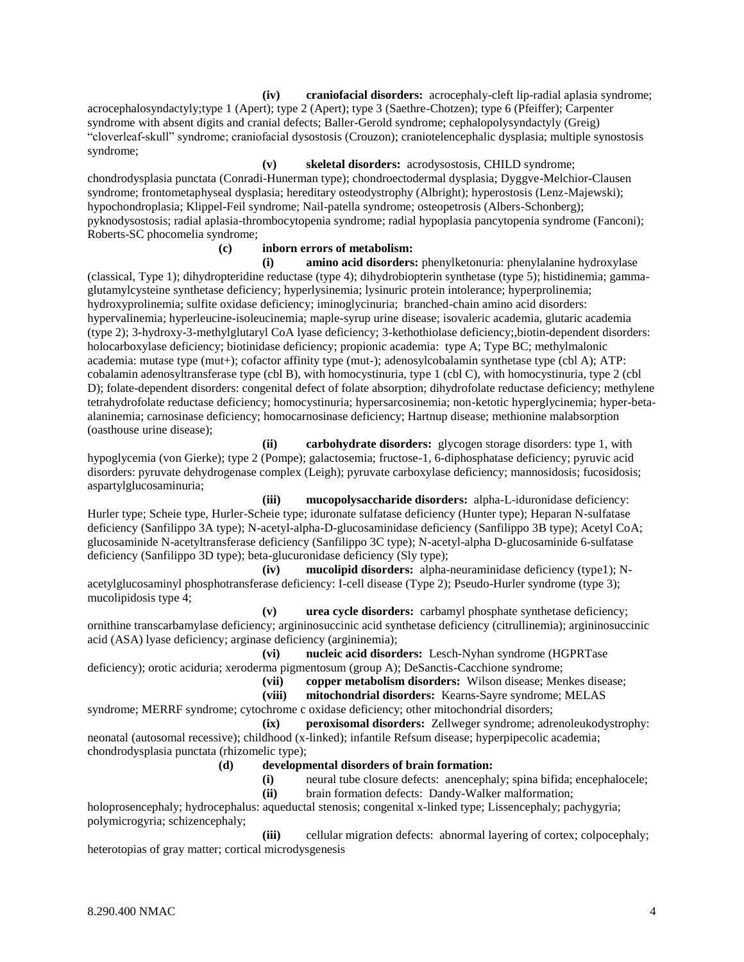**(iv) craniofacial disorders:** acrocephaly-cleft lip-radial aplasia syndrome; acrocephalosyndactyly;type 1 (Apert); type 2 (Apert); type 3 (Saethre-Chotzen); type 6 (Pfeiffer); Carpenter syndrome with absent digits and cranial defects; Baller-Gerold syndrome; cephalopolysyndactyly (Greig) "cloverleaf-skull" syndrome; craniofacial dysostosis (Crouzon); craniotelencephalic dysplasia; multiple synostosis syndrome;

#### **(v) skeletal disorders:** acrodysostosis, CHILD syndrome;

chondrodysplasia punctata (Conradi-Hunerman type); chondroectodermal dysplasia; Dyggve-Melchior-Clausen syndrome; frontometaphyseal dysplasia; hereditary osteodystrophy (Albright); hyperostosis (Lenz-Majewski); hypochondroplasia; Klippel-Feil syndrome; Nail-patella syndrome; osteopetrosis (Albers-Schonberg); pyknodysostosis; radial aplasia-thrombocytopenia syndrome; radial hypoplasia pancytopenia syndrome (Fanconi); Roberts-SC phocomelia syndrome;

## **(c) inborn errors of metabolism:**

**(i) amino acid disorders:** phenylketonuria: phenylalanine hydroxylase (classical, Type 1); dihydropteridine reductase (type 4); dihydrobiopterin synthetase (type 5); histidinemia; gammaglutamylcysteine synthetase deficiency; hyperlysinemia; lysinuric protein intolerance; hyperprolinemia; hydroxyprolinemia; sulfite oxidase deficiency; iminoglycinuria; branched-chain amino acid disorders: hypervalinemia; hyperleucine-isoleucinemia; maple-syrup urine disease; isovaleric academia, glutaric academia (type 2); 3-hydroxy-3-methylglutaryl CoA lyase deficiency; 3-kethothiolase deficiency;,biotin-dependent disorders: holocarboxylase deficiency; biotinidase deficiency; propionic academia: type A; Type BC; methylmalonic academia: mutase type (mut+); cofactor affinity type (mut-); adenosylcobalamin synthetase type (cbl A); ATP: cobalamin adenosyltransferase type (cbl B), with homocystinuria, type 1 (cbl C), with homocystinuria, type 2 (cbl D); folate-dependent disorders: congenital defect of folate absorption; dihydrofolate reductase deficiency; methylene tetrahydrofolate reductase deficiency; homocystinuria; hypersarcosinemia; non-ketotic hyperglycinemia; hyper-betaalaninemia; carnosinase deficiency; homocarnosinase deficiency; Hartnup disease; methionine malabsorption (oasthouse urine disease);

**(ii) carbohydrate disorders:** glycogen storage disorders: type 1, with hypoglycemia (von Gierke); type 2 (Pompe); galactosemia; fructose-1, 6-diphosphatase deficiency; pyruvic acid disorders: pyruvate dehydrogenase complex (Leigh); pyruvate carboxylase deficiency; mannosidosis; fucosidosis; aspartylglucosaminuria;

**(iii) mucopolysaccharide disorders:** alpha-L-iduronidase deficiency: Hurler type; Scheie type, Hurler-Scheie type; iduronate sulfatase deficiency (Hunter type); Heparan N-sulfatase deficiency (Sanfilippo 3A type); N-acetyl-alpha-D-glucosaminidase deficiency (Sanfilippo 3B type); Acetyl CoA; glucosaminide N-acetyltransferase deficiency (Sanfilippo 3C type); N-acetyl-alpha D-glucosaminide 6-sulfatase deficiency (Sanfilippo 3D type); beta-glucuronidase deficiency (Sly type);

**(iv) mucolipid disorders:** alpha-neuraminidase deficiency (type1); Nacetylglucosaminyl phosphotransferase deficiency: I-cell disease (Type 2); Pseudo-Hurler syndrome (type 3); mucolipidosis type 4;

**(v) urea cycle disorders:** carbamyl phosphate synthetase deficiency; ornithine transcarbamylase deficiency; argininosuccinic acid synthetase deficiency (citrullinemia); argininosuccinic acid (ASA) lyase deficiency; arginase deficiency (argininemia);

**(vi) nucleic acid disorders:** Lesch-Nyhan syndrome (HGPRTase deficiency); orotic aciduria; xeroderma pigmentosum (group A); DeSanctis-Cacchione syndrome;

**(vii) copper metabolism disorders:** Wilson disease; Menkes disease;

**(viii) mitochondrial disorders:** Kearns-Sayre syndrome; MELAS

syndrome; MERRF syndrome; cytochrome c oxidase deficiency; other mitochondrial disorders; **(ix) peroxisomal disorders:** Zellweger syndrome; adrenoleukodystrophy:

neonatal (autosomal recessive); childhood (x-linked); infantile Refsum disease; hyperpipecolic academia; chondrodysplasia punctata (rhizomelic type);

**(d) developmental disorders of brain formation:**

**(i)** neural tube closure defects: anencephaly; spina bifida; encephalocele;

**(ii)** brain formation defects: Dandy-Walker malformation;

holoprosencephaly; hydrocephalus: aqueductal stenosis; congenital x-linked type; Lissencephaly; pachygyria; polymicrogyria; schizencephaly;

**(iii)** cellular migration defects: abnormal layering of cortex; colpocephaly; heterotopias of gray matter; cortical microdysgenesis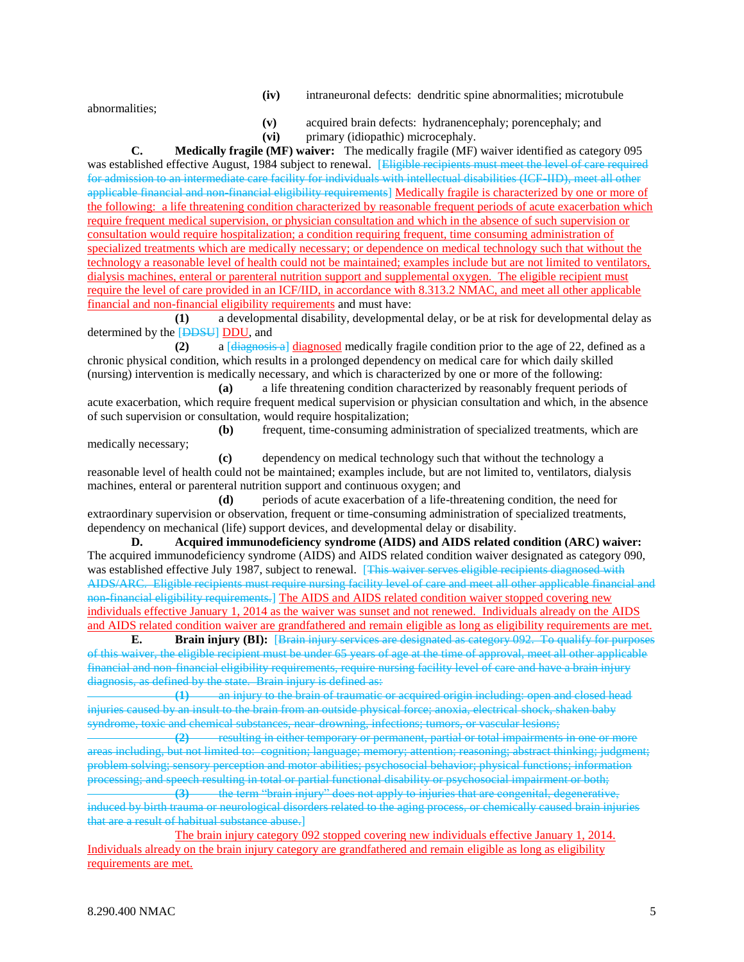**(iv)** intraneuronal defects: dendritic spine abnormalities; microtubule

abnormalities;

medically necessary;

- **(v)** acquired brain defects: hydranencephaly; porencephaly; and
- **(vi)** primary (idiopathic) microcephaly.

**C. Medically fragile (MF) waiver:** The medically fragile (MF) waiver identified as category 095 was established effective August, 1984 subject to renewal. [Eligible recipients must meet the level of care required for admission to an intermediate care facility for individuals with intellectual disabilities (ICF-IID), meet all other applicable financial and non-financial eligibility requirements] Medically fragile is characterized by one or more of the following: a life threatening condition characterized by reasonable frequent periods of acute exacerbation which require frequent medical supervision, or physician consultation and which in the absence of such supervision or consultation would require hospitalization; a condition requiring frequent, time consuming administration of specialized treatments which are medically necessary; or dependence on medical technology such that without the technology a reasonable level of health could not be maintained; examples include but are not limited to ventilators, dialysis machines, enteral or parenteral nutrition support and supplemental oxygen. The eligible recipient must require the level of care provided in an ICF/IID, in accordance with 8.313.2 NMAC, and meet all other applicable financial and non-financial eligibility requirements and must have:

**(1)** a developmental disability, developmental delay, or be at risk for developmental delay as determined by the [DDSU] DDU, and

**(2)** a [diagnosis a] diagnosed medically fragile condition prior to the age of 22, defined as a chronic physical condition, which results in a prolonged dependency on medical care for which daily skilled (nursing) intervention is medically necessary, and which is characterized by one or more of the following:

**(a)** a life threatening condition characterized by reasonably frequent periods of acute exacerbation, which require frequent medical supervision or physician consultation and which, in the absence of such supervision or consultation, would require hospitalization;

**(b)** frequent, time-consuming administration of specialized treatments, which are

**(c)** dependency on medical technology such that without the technology a reasonable level of health could not be maintained; examples include, but are not limited to, ventilators, dialysis machines, enteral or parenteral nutrition support and continuous oxygen; and

**(d)** periods of acute exacerbation of a life-threatening condition, the need for extraordinary supervision or observation, frequent or time-consuming administration of specialized treatments, dependency on mechanical (life) support devices, and developmental delay or disability.

**D. Acquired immunodeficiency syndrome (AIDS) and AIDS related condition (ARC) waiver:** The acquired immunodeficiency syndrome (AIDS) and AIDS related condition waiver designated as category 090, was established effective July 1987, subject to renewal. [This waiver serves eligible recipients diagnosed with AIDS/ARC. Eligible recipients must require nursing facility level of care and meet all other applicable financial and non-financial eligibility requirements.] The AIDS and AIDS related condition waiver stopped covering new individuals effective January 1, 2014 as the waiver was sunset and not renewed. Individuals already on the AIDS and AIDS related condition waiver are grandfathered and remain eligible as long as eligibility requirements are met.

**E. Brain injury (BI):** [Brain injury services are designated as category 092. To qualify for purposes of this waiver, the eligible recipient must be under 65 years of age at the time of approval, meet all other applicable financial and non-financial eligibility requirements, require nursing facility level of care and have a brain injury diagnosis, as defined by the state. Brain injury is defined as:<br>  $\frac{1}{1}$  an injury to the brain of traumatic

an injury to the brain of traumatic or acquired origin including: open and closed head injuries caused by an insult to the brain from an outside physical force; anoxia, electrical shock, shaken baby syndrome, toxic and chemical substances, near-drowning, infections; tumors, or vascular lesions;

**(2)** resulting in either temporary or permanent, partial or total impairments in one or more areas including, but not limited to: cognition; language; memory; attention; reasoning; abstract thinking; judgment; problem solving; sensory perception and motor abilities; psychosocial behavior; physical functions; information processing; and speech resulting in total or partial functional disability or psychosocial impairment or both;

**(3)** the term "brain injury" does not apply to injuries that are congenital, degenerative, induced by birth trauma or neurological disorders related to the aging process, or chemically caused brain injuries that are a result of habitual substance abuse.]

The brain injury category 092 stopped covering new individuals effective January 1, 2014. Individuals already on the brain injury category are grandfathered and remain eligible as long as eligibility requirements are met.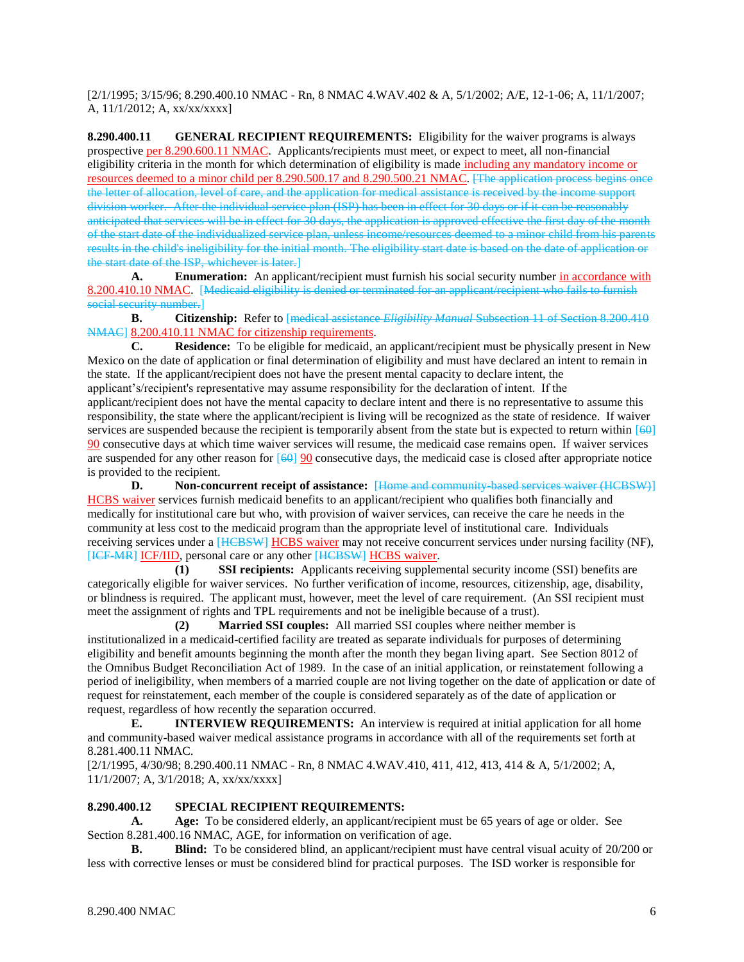[2/1/1995; 3/15/96; 8.290.400.10 NMAC - Rn, 8 NMAC 4.WAV.402 & A, 5/1/2002; A/E, 12-1-06; A, 11/1/2007; A, 11/1/2012; A, xx/xx/xxxx]

**8.290.400.11 GENERAL RECIPIENT REQUIREMENTS:** Eligibility for the waiver programs is always prospective per 8.290.600.11 NMAC. Applicants/recipients must meet, or expect to meet, all non-financial eligibility criteria in the month for which determination of eligibility is made including any mandatory income or resources deemed to a minor child per 8.290.500.17 and 8.290.500.21 NMAC. [The application process begins once the letter of allocation, level of care, and the application for medical assistance is received by the income support division worker. After the individual service plan (ISP) has been in effect for 30 days or if it can be reasonably anticipated that services will be in effect for 30 days, the application is approved effective the first day of the month of the start date of the individualized service plan, unless income/resources deemed to a minor child from his parents results in the child's ineligibility for the initial month. The eligibility start date is based on the date of application or the start date of the ISP, whichever is later.]

**A. Enumeration:** An applicant/recipient must furnish his social security number in accordance with 8.200.410.10 NMAC. [Medicaid eligibility is denied or terminated for an applicant/recipient who fails to furnish social security number.]

**B. Citizenship:** Refer to [medical assistance *Eligibility Manual* Subsection 11 of Section 8.200.410 NMAC 8.200.410.11 NMAC for citizenship requirements.

**C. Residence:** To be eligible for medicaid, an applicant/recipient must be physically present in New Mexico on the date of application or final determination of eligibility and must have declared an intent to remain in the state. If the applicant/recipient does not have the present mental capacity to declare intent, the applicant's/recipient's representative may assume responsibility for the declaration of intent. If the applicant/recipient does not have the mental capacity to declare intent and there is no representative to assume this responsibility, the state where the applicant/recipient is living will be recognized as the state of residence. If waiver services are suspended because the recipient is temporarily absent from the state but is expected to return within [60] 90 consecutive days at which time waiver services will resume, the medicaid case remains open. If waiver services are suspended for any other reason for [60] 90 consecutive days, the medicaid case is closed after appropriate notice is provided to the recipient.<br>D. Non-conc

**D. Non-concurrent receipt of assistance:** [Home and community-based services waiver (HCBSW)] HCBS waiver services furnish medicaid benefits to an applicant/recipient who qualifies both financially and medically for institutional care but who, with provision of waiver services, can receive the care he needs in the community at less cost to the medicaid program than the appropriate level of institutional care. Individuals receiving services under a [HCBSW] HCBS waiver may not receive concurrent services under nursing facility (NF), [ICF-MR] ICF/IID, personal care or any other [HCBSW] HCBS waiver.

**(1) SSI recipients:** Applicants receiving supplemental security income (SSI) benefits are categorically eligible for waiver services. No further verification of income, resources, citizenship, age, disability, or blindness is required. The applicant must, however, meet the level of care requirement. (An SSI recipient must meet the assignment of rights and TPL requirements and not be ineligible because of a trust).

**(2) Married SSI couples:** All married SSI couples where neither member is institutionalized in a medicaid-certified facility are treated as separate individuals for purposes of determining eligibility and benefit amounts beginning the month after the month they began living apart. See Section 8012 of the Omnibus Budget Reconciliation Act of 1989. In the case of an initial application, or reinstatement following a period of ineligibility, when members of a married couple are not living together on the date of application or date of request for reinstatement, each member of the couple is considered separately as of the date of application or request, regardless of how recently the separation occurred.

**E. INTERVIEW REQUIREMENTS:** An interview is required at initial application for all home and community-based waiver medical assistance programs in accordance with all of the requirements set forth at 8.281.400.11 NMAC.

[2/1/1995, 4/30/98; 8.290.400.11 NMAC - Rn, 8 NMAC 4.WAV.410, 411, 412, 413, 414 & A, 5/1/2002; A, 11/1/2007; A, 3/1/2018; A, xx/xx/xxxx]

## **8.290.400.12 SPECIAL RECIPIENT REQUIREMENTS:**

**A. Age:** To be considered elderly, an applicant/recipient must be 65 years of age or older. See Section 8.281.400.16 NMAC, AGE, for information on verification of age.

**B. Blind:** To be considered blind, an applicant/recipient must have central visual acuity of 20/200 or less with corrective lenses or must be considered blind for practical purposes. The ISD worker is responsible for